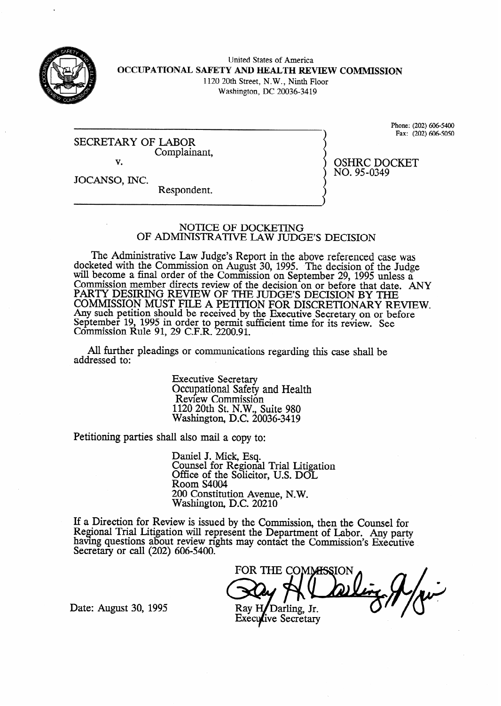

United States of America **OCCUPATIONAL SAFETY AND HEALTH REVIEW COMMISSION**  1120 20th Street, N.W., Ninth Floor Washington, DC 20036-34 19

SECRETARY OF LABOR<br>Complainant. v.

JOCANSO, INC.

Respondent.

### NOTICE OF DOCKETING OF ADMINISTRATIVE LAW JUDGE'S DECISION

The Administrative Law Judge's Report in the above referenced case was docketed with the Commission on August 30, 1995. The decision of the Judge will become a final order of the Commission on September 29, 1995 unless a Commission member directs review of the decision on or before that date. ANY PARTY DESIRING REVIEW OF THE JUDGE'S DECISION BY THE COMMISSION MUST FILE A PETITION FOR DISCRETIONARY REVIEW. Any such petition should be received by the Executive Secretary on or before September 19, 1995 in order to permit sufficient time for its review. See Commission Rule 91, 29 C.F.R. 2200.91.

All further pleadings or communications regarding this case shall be addressed to:

> Executive Secretary Occupational Safety and Health Review Commission 1120 20th St. N.W., Suite 980 Washington, D.C. 20036-3419

Petitioning parties shall also mail a copy to:

Daniel J. Mick, Esq. Counsel for Regional Trial Litigation Office of the Solicitor, U.S. DOI Room S4004 200 Constitution Avenue, N.W. Washington, D.C. 20210

If a Direction for Review is issued bv the Commission, then the Counsel for Regional Trial Litigation will represent the Department of Labor. Any party<br>having questions about review rights may contact the Commission's Franctice having questions about review rights may contact the Commission's Executive Secretary or call (202) 606-5400.

FOR THE COMMISSION Rav H Darling, Jr.

**Executive Secretary** 

Date: August 30, 1995

Phone: (202) 606-5400 Fax: (202) 606-5050

OSHRC DOCKET NO. 95-0349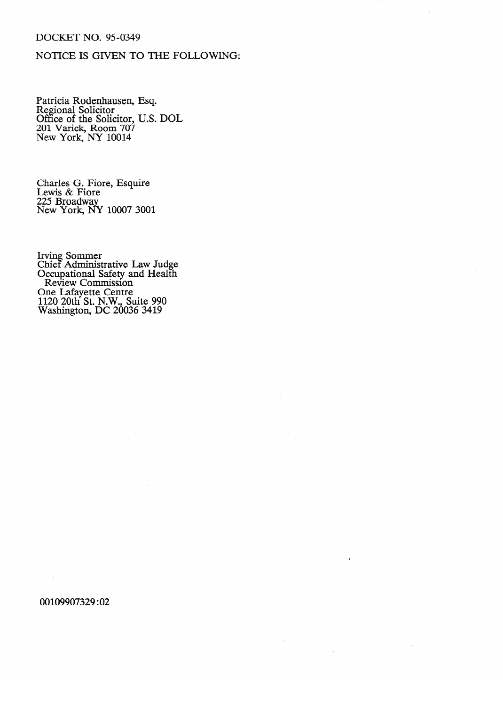## DOCKET NO. 95-0349

# NOTICE IS GIVEN TO THE FOLLOWING:

r attivia Rodenhausen, Esq.<br>Regional Solicitor Reficient Solicitor<br>Office of the Soli  $\frac{60}{201}$  Varick. Room 707  $\overline{N}$ ew York,  $\overline{NY}$  10014  $\overline{a}$ 

Charles G. Fiore, Esquire 225 Broadway New York, N

Chief Adminis Occupational Safety and Health Review Commission<br>One I eferette Centre rie Laiayeue Centre<br>120 20th St. N.W. TIZU ZUILI SL IN.W., S 1120 20th St. N.W., Suite 990

#### 00109907329:02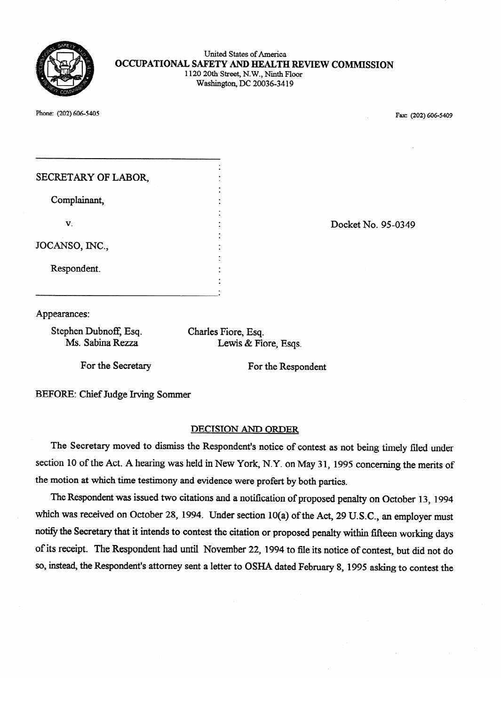

### United States of America OCCUPATIONAL SAFETY AND HEALTH REVIEW COMMISSION 1120 20th Street, N.W., Ninth Floor Washington, DC 20036-3419

Phone: (202) 606-5405

 $\mathcal{P}_{\text{max}}$   $\mathcal{P}_{\text{max}}$   $\mathcal{P}_{\text{max}}$   $\mathcal{P}_{\text{max}}$   $\mathcal{P}_{\text{max}}$   $\mathcal{P}_{\text{max}}$   $\mathcal{P}_{\text{max}}$   $\mathcal{P}_{\text{max}}$   $\mathcal{P}_{\text{max}}$   $\mathcal{P}_{\text{max}}$   $\mathcal{P}_{\text{max}}$   $\mathcal{P}_{\text{max}}$   $\mathcal{P}_{\text{max}}$   $\mathcal{P}_{\text{max}}$   $\mathcal{P}_{\text{max}}$   $\mathcal{P}_{\text{max$ 

| SECRETARY OF LABOR, |  |
|---------------------|--|
| Complainant,        |  |
| V.                  |  |
| JOCANSO, INC.,      |  |
| Respondent.         |  |
|                     |  |

Docket No. 95-0349

Appearances:

Stephen Dubnoff, Esq. Ms. Sabina Rezza

Charles Fiore, Esq. Lewis & Fiore, Esqs.

For the Secretary

For the Respondent

**BEFORE: Chief Judge Irving Sommer** 

## **DECISION AND ORDER**

The Secretary moved to dismiss the Respondent's notice of contest as not being timely filed under section 10 of the Act. A hearing was held in New York, N.Y. on May 31, 1995 concerning the merits of the motion at which time testimony and evidence were profert by both parties.

The Respondent was issued two citations and a notification of proposed penalty on October 13, 1994 which was received on October 28, 1994. Under section 10(a) of the Act, 29 U.S.C., an employer must notify the Secretary that it intends to contest the citation or proposed penalty within fifteen working days of its receipt. The Respondent had until November 22, 1994 to file its notice of contest, but did not do so, instead, the Respondent's attorney sent a letter to OSHA dated February 8, 1995 asking to contest the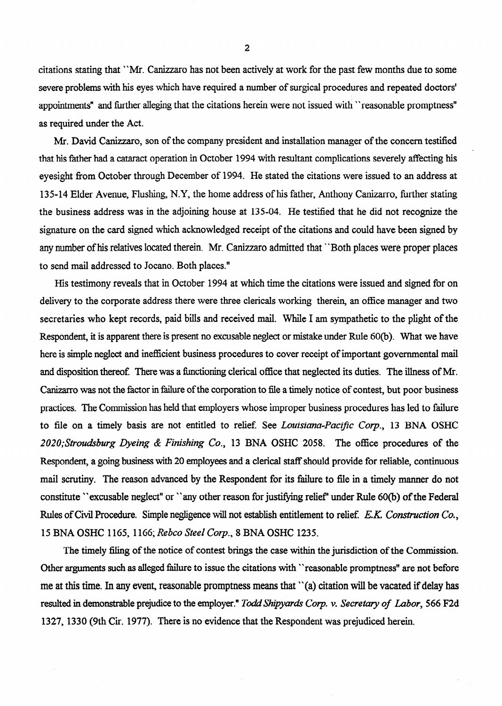citations stating that "Mr. Canizzaro has not been actively at work for the past few months due to some severe problems with his eyes which have required a number of surgical procedures and repeated doctors' appointments" and further alleging that the citations herein were not issued with "reasonable promptness" as required under the Act.

Mr. David Canizzaro, son of the company president and installation manager of the concern testified that his father had a cataract operation in October 1994 with resultant complications severely affecting his eyesight from October through December of **1994.** He stated the citations were issued to an address at 135-14 Elder Avenue, Flushing, N.Y, the home address of his father, Anthony Canizarro, further stating the business address was in the adjoining house at 135-04. He testified that he did not recognize the signature on the card signed which acknowledged receipt of the citations and could have been signed by any number of his relatives located therein. Mr. Canizaro admitted that "Both places were proper places to send mail addressed to Jocano. Both places."

His testimony reveals that in October **1994** at which time the citations were issued and signed for on delivery to the corporate address there were three clericals working therein, an office manager and two secretaries who kept records, paid bills and received mail. While I am sympathetic to the plight of the Respondent, it is apparent there is present no excusable neglect or mistake under Rule **60(b).** What we have here is simple neglect and inefficient business procedures to cover receipt of important governmental mail and disposition thereof. There was a functioning clerical office that neglected its duties. The illness of Mr. .Canizarro was not the factor in failure of the corporation to file a timely notice of contest, but poor business practices. The Commission has held that employers whose improper business procedures has led to failure to file on a timely basis are not entitled to relief. See Louisiana-Pacific Corp., 13 BNA OSHC *202O;Sfroudsburg Dyeing & Finishing Co.,* **13** BNA OSHC 2058. The office procedures of the Respondent, a going business with 20 employees and a clerical staff should provide for reliable, continuous mail scrutiny. The reason advanced by the Respondent for its failure to file in a timely manner do not constitute "excusable neglect" or "any other reason for justifying relief" under Rule 60(b) of the Federal Rules of Civil Procedure. Simple negligence will not establish entitlement to relief. E.K. Construction Co., **15 BNA OSHC 1165, 1166;** *Rebco Steel Corp.,* **8** BNA OSHC 1235.

The timely filing of the notice of contest brings the case within the jurisdiction of the Commission. Other arguments such as alleged failure to issue the citations with "reasonable promptness" are not before me at this time. In any event, reasonable promptness means that "(a) citation will be vacated if delay has resulted in demonstrable prejudice to the employer." Todd Shipyards Corp. v. Secretary of Labor, 566 F2d **1327,133O** (9th **Cir. 1977).** There is no evidence that the Respondent was prejudiced herein.